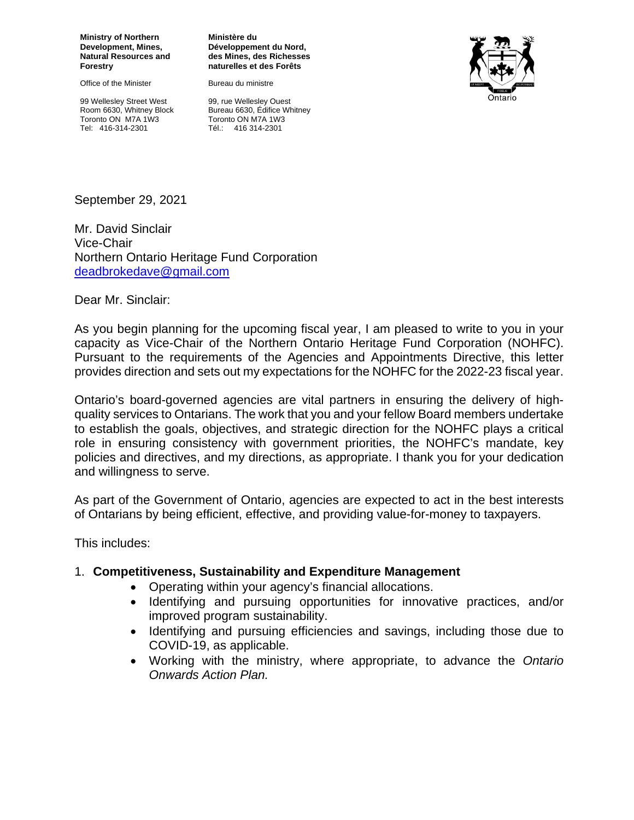**Ministry of Northern Development, Mines, Natural Resources and Forestry**

Office of the Minister

99 Wellesley Street West Room 6630, Whitney Block Toronto ON M7A 1W3 Tel: 416-314-2301

**Ministère du Développement du Nord, des Mines, des Richesses naturelles et des Forêts**

Bureau du ministre



99, rue Wellesley Ouest Bureau 6630, Édifice Whitney Toronto ON M7A 1W3 Tél.: 416 314-2301

September 29, 2021

Mr. David Sinclair Vice-Chair Northern Ontario Heritage Fund Corporation [deadbrokedave@gmail.com](mailto:deadbrokedave@gmail.com)

Dear Mr. Sinclair:

As you begin planning for the upcoming fiscal year, I am pleased to write to you in your capacity as Vice-Chair of the Northern Ontario Heritage Fund Corporation (NOHFC). Pursuant to the requirements of the Agencies and Appointments Directive, this letter provides direction and sets out my expectations for the NOHFC for the 2022-23 fiscal year.

Ontario's board-governed agencies are vital partners in ensuring the delivery of highquality services to Ontarians. The work that you and your fellow Board members undertake to establish the goals, objectives, and strategic direction for the NOHFC plays a critical role in ensuring consistency with government priorities, the NOHFC's mandate, key policies and directives, and my directions, as appropriate. I thank you for your dedication and willingness to serve.

As part of the Government of Ontario, agencies are expected to act in the best interests of Ontarians by being efficient, effective, and providing value-for-money to taxpayers.

This includes:

#### 1. **Competitiveness, Sustainability and Expenditure Management**

- Operating within your agency's financial allocations.
- Identifying and pursuing opportunities for innovative practices, and/or improved program sustainability.
- Identifying and pursuing efficiencies and savings, including those due to COVID-19, as applicable.
- Working with the ministry, where appropriate, to advance the *Ontario Onwards Action Plan.*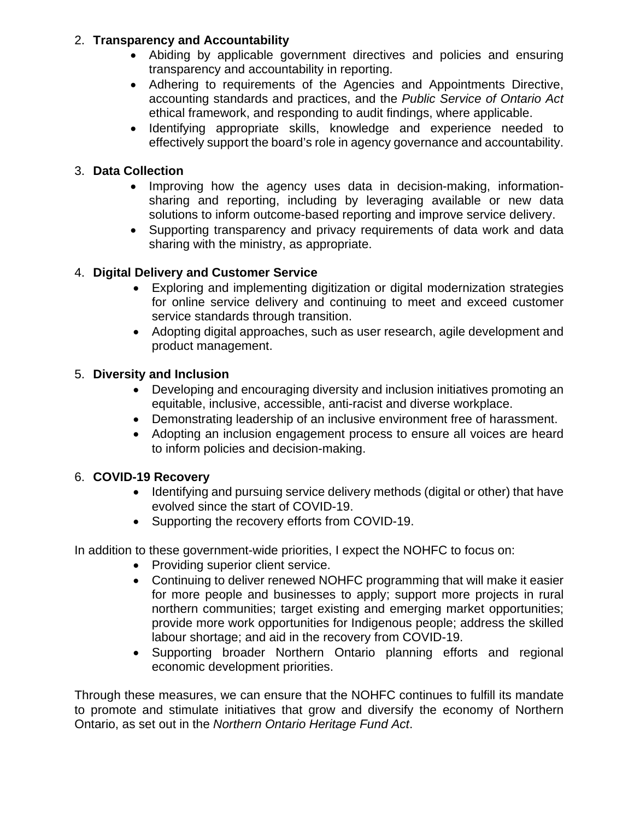#### 2. **Transparency and Accountability**

- Abiding by applicable government directives and policies and ensuring transparency and accountability in reporting.
- Adhering to requirements of the Agencies and Appointments Directive, accounting standards and practices, and the *Public Service of Ontario Act* ethical framework, and responding to audit findings, where applicable.
- Identifying appropriate skills, knowledge and experience needed to effectively support the board's role in agency governance and accountability.

# 3. **Data Collection**

- Improving how the agency uses data in decision-making, informationsharing and reporting, including by leveraging available or new data solutions to inform outcome-based reporting and improve service delivery.
- Supporting transparency and privacy requirements of data work and data sharing with the ministry, as appropriate.

# 4. **Digital Delivery and Customer Service**

- Exploring and implementing digitization or digital modernization strategies for online service delivery and continuing to meet and exceed customer service standards through transition.
- Adopting digital approaches, such as user research, agile development and product management.

## 5. **Diversity and Inclusion**

- Developing and encouraging diversity and inclusion initiatives promoting an equitable, inclusive, accessible, anti-racist and diverse workplace.
- Demonstrating leadership of an inclusive environment free of harassment.
- Adopting an inclusion engagement process to ensure all voices are heard to inform policies and decision-making.

## 6. **COVID-19 Recovery**

- Identifying and pursuing service delivery methods (digital or other) that have evolved since the start of COVID-19.
- Supporting the recovery efforts from COVID-19.

In addition to these government-wide priorities, I expect the NOHFC to focus on:

- Providing superior client service.
- Continuing to deliver renewed NOHFC programming that will make it easier for more people and businesses to apply; support more projects in rural northern communities; target existing and emerging market opportunities; provide more work opportunities for Indigenous people; address the skilled labour shortage; and aid in the recovery from COVID-19.
- Supporting broader Northern Ontario planning efforts and regional economic development priorities.

Through these measures, we can ensure that the NOHFC continues to fulfill its mandate to promote and stimulate initiatives that grow and diversify the economy of Northern Ontario, as set out in the *Northern Ontario Heritage Fund Act*.